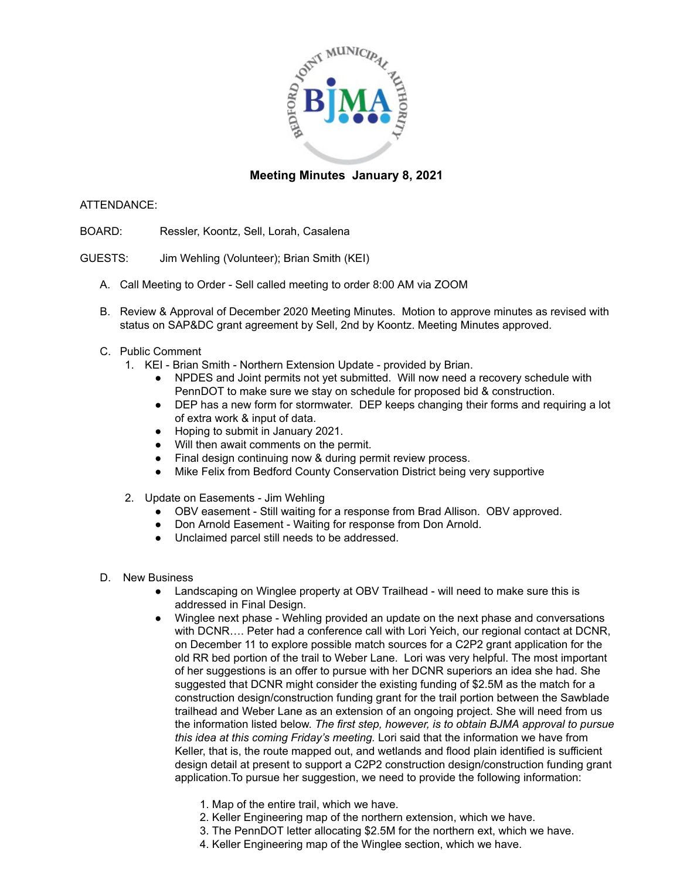

## **Meeting Minutes January 8, 2021**

## ATTENDANCE:

- BOARD: Ressler, Koontz, Sell, Lorah, Casalena
- GUESTS: Jim Wehling (Volunteer); Brian Smith (KEI)
	- A. Call Meeting to Order Sell called meeting to order 8:00 AM via ZOOM
	- B. Review & Approval of December 2020 Meeting Minutes. Motion to approve minutes as revised with status on SAP&DC grant agreement by Sell, 2nd by Koontz. Meeting Minutes approved.
	- C. Public Comment
		- 1. KEI Brian Smith Northern Extension Update provided by Brian.
			- NPDES and Joint permits not yet submitted. Will now need a recovery schedule with PennDOT to make sure we stay on schedule for proposed bid & construction.
			- DEP has a new form for stormwater. DEP keeps changing their forms and requiring a lot of extra work & input of data.
			- Hoping to submit in January 2021.
			- Will then await comments on the permit.
			- Final design continuing now & during permit review process.
			- Mike Felix from Bedford County Conservation District being very supportive
		- 2. Update on Easements Jim Wehling
			- OBV easement Still waiting for a response from Brad Allison. OBV approved.
			- Don Arnold Easement Waiting for response from Don Arnold.
			- Unclaimed parcel still needs to be addressed.
	- D. New Business
		- Landscaping on Winglee property at OBV Trailhead will need to make sure this is addressed in Final Design.
		- Winglee next phase Wehling provided an update on the next phase and conversations with DCNR…. Peter had a conference call with Lori Yeich, our regional contact at DCNR, on December 11 to explore possible match sources for a C2P2 grant application for the old RR bed portion of the trail to Weber Lane. Lori was very helpful. The most important of her suggestions is an offer to pursue with her DCNR superiors an idea she had. She suggested that DCNR might consider the existing funding of \$2.5M as the match for a construction design/construction funding grant for the trail portion between the Sawblade trailhead and Weber Lane as an extension of an ongoing project. She will need from us the information listed below. *The first step, however, is to obtain BJMA approval to pursue this idea at this coming Friday's meeting.* Lori said that the information we have from Keller, that is, the route mapped out, and wetlands and flood plain identified is sufficient design detail at present to support a C2P2 construction design/construction funding grant application.To pursue her suggestion, we need to provide the following information:
			- 1. Map of the entire trail, which we have.
			- 2. Keller Engineering map of the northern extension, which we have.
			- 3. The PennDOT letter allocating \$2.5M for the northern ext, which we have.
			- 4. Keller Engineering map of the Winglee section, which we have.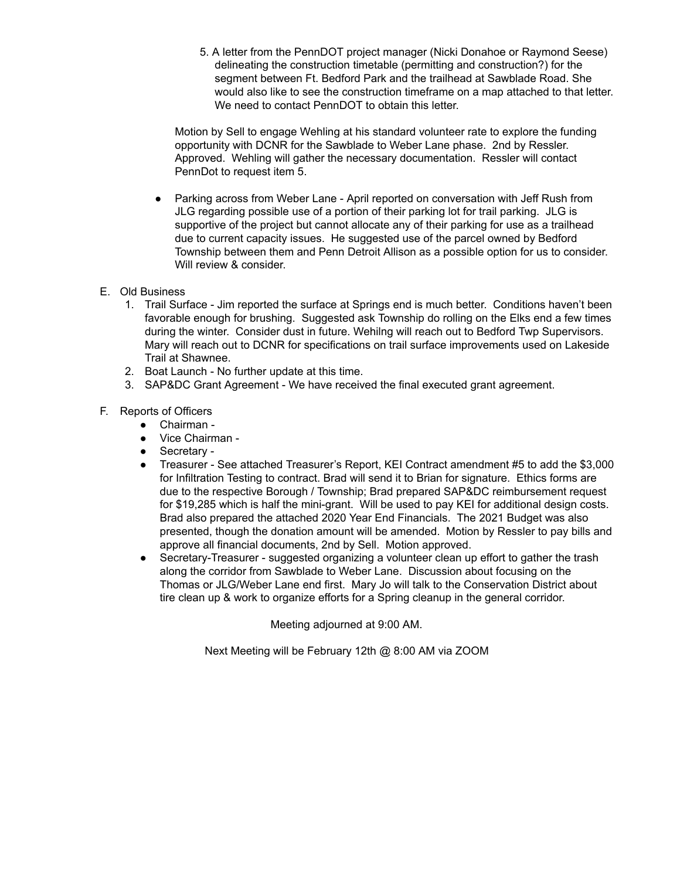5. A letter from the PennDOT project manager (Nicki Donahoe or Raymond Seese) delineating the construction timetable (permitting and construction?) for the segment between Ft. Bedford Park and the trailhead at Sawblade Road. She would also like to see the construction timeframe on a map attached to that letter. We need to contact PennDOT to obtain this letter.

Motion by Sell to engage Wehling at his standard volunteer rate to explore the funding opportunity with DCNR for the Sawblade to Weber Lane phase. 2nd by Ressler. Approved. Wehling will gather the necessary documentation. Ressler will contact PennDot to request item 5.

- Parking across from Weber Lane April reported on conversation with Jeff Rush from JLG regarding possible use of a portion of their parking lot for trail parking. JLG is supportive of the project but cannot allocate any of their parking for use as a trailhead due to current capacity issues. He suggested use of the parcel owned by Bedford Township between them and Penn Detroit Allison as a possible option for us to consider. Will review & consider.
- E. Old Business
	- 1. Trail Surface Jim reported the surface at Springs end is much better. Conditions haven't been favorable enough for brushing. Suggested ask Township do rolling on the Elks end a few times during the winter. Consider dust in future. Wehilng will reach out to Bedford Twp Supervisors. Mary will reach out to DCNR for specifications on trail surface improvements used on Lakeside Trail at Shawnee.
	- 2. Boat Launch No further update at this time.
	- 3. SAP&DC Grant Agreement We have received the final executed grant agreement.
- F. Reports of Officers
	- Chairman -
	- Vice Chairman -
	- Secretary -
	- Treasurer See attached Treasurer's Report, KEI Contract amendment #5 to add the \$3,000 for Infiltration Testing to contract. Brad will send it to Brian for signature. Ethics forms are due to the respective Borough / Township; Brad prepared SAP&DC reimbursement request for \$19,285 which is half the mini-grant. Will be used to pay KEI for additional design costs. Brad also prepared the attached 2020 Year End Financials. The 2021 Budget was also presented, though the donation amount will be amended. Motion by Ressler to pay bills and approve all financial documents, 2nd by Sell. Motion approved.
	- Secretary-Treasurer suggested organizing a volunteer clean up effort to gather the trash along the corridor from Sawblade to Weber Lane. Discussion about focusing on the Thomas or JLG/Weber Lane end first. Mary Jo will talk to the Conservation District about tire clean up & work to organize efforts for a Spring cleanup in the general corridor.

Meeting adjourned at 9:00 AM.

Next Meeting will be February 12th @ 8:00 AM via ZOOM